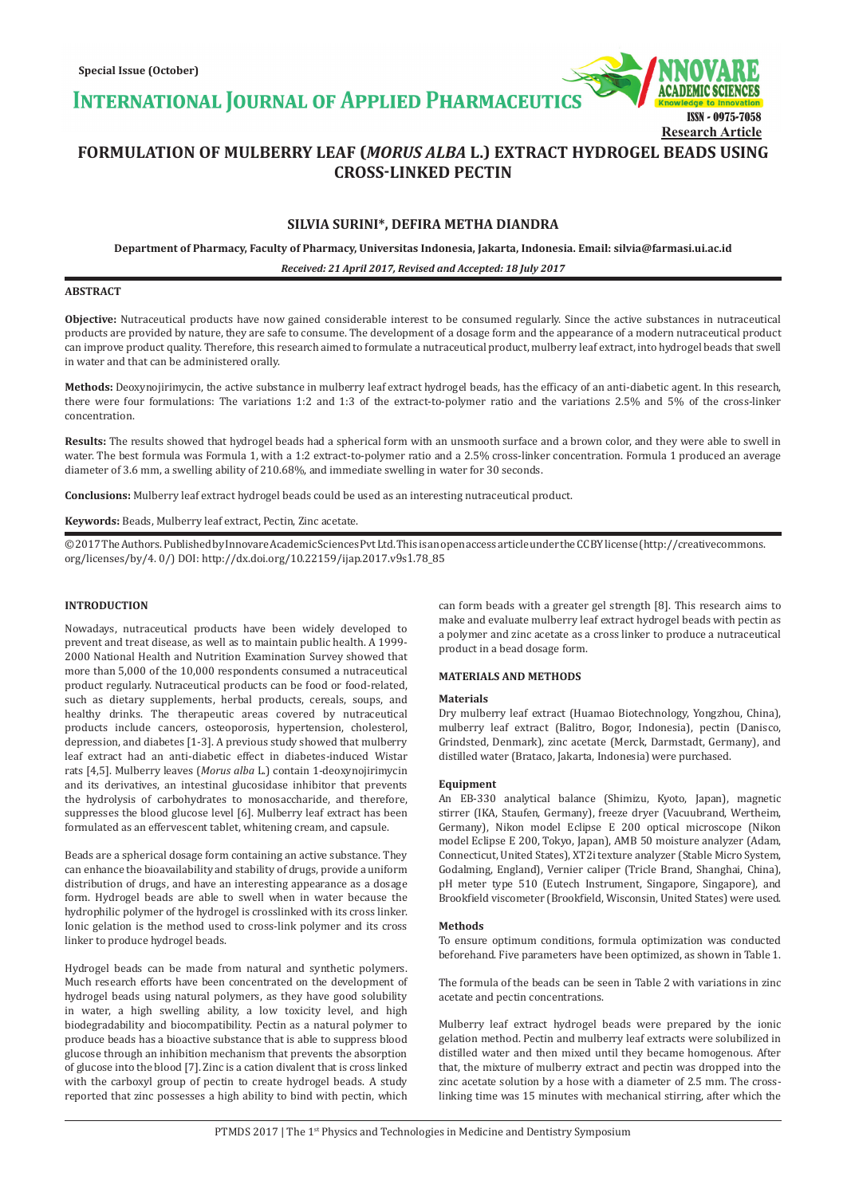**INTERNATIONAL JOURNAL OF APPLIED PHARMACEUTIC** 



**Research Article**

# **FORMULATION OF MULBERRY LEAF (***MORUS ALBA* **L.) EXTRACT HYDROGEL BEADS USING CROSS-LINKED PECTIN**

# **SILVIA SURINI\*, DEFIRA METHA DIANDRA**

**Department of Pharmacy, Faculty of Pharmacy, Universitas Indonesia, Jakarta, Indonesia. Email: silvia@farmasi.ui.ac.id**

*Received: 21 April 2017, Revised and Accepted: 18 July 2017*

# **ABSTRACT**

**Objective:** Nutraceutical products have now gained considerable interest to be consumed regularly. Since the active substances in nutraceutical products are provided by nature, they are safe to consume. The development of a dosage form and the appearance of a modern nutraceutical product can improve product quality. Therefore, this research aimed to formulate a nutraceutical product, mulberry leaf extract, into hydrogel beads that swell in water and that can be administered orally.

**Methods:** Deoxynojirimycin, the active substance in mulberry leaf extract hydrogel beads, has the efficacy of an anti-diabetic agent. In this research, there were four formulations: The variations 1:2 and 1:3 of the extract-to-polymer ratio and the variations 2.5% and 5% of the cross-linker concentration.

**Results:** The results showed that hydrogel beads had a spherical form with an unsmooth surface and a brown color, and they were able to swell in water. The best formula was Formula 1, with a 1:2 extract-to-polymer ratio and a 2.5% cross-linker concentration. Formula 1 produced an average diameter of 3.6 mm, a swelling ability of 210.68%, and immediate swelling in water for 30 seconds.

**Conclusions:** Mulberry leaf extract hydrogel beads could be used as an interesting nutraceutical product.

# **Keywords:** Beads, Mulberry leaf extract, Pectin, Zinc acetate.

© 2017 The Authors. Published by Innovare Academic Sciences Pvt Ltd. This is an open access article under the CC BY license (http://creativecommons. org/licenses/by/4. 0/) DOI: http://dx.doi.org/10.22159/ijap.2017.v9s1.78\_85

### **INTRODUCTION**

Nowadays, nutraceutical products have been widely developed to prevent and treat disease, as well as to maintain public health. A 1999- 2000 National Health and Nutrition Examination Survey showed that more than 5,000 of the 10,000 respondents consumed a nutraceutical product regularly. Nutraceutical products can be food or food-related, such as dietary supplements, herbal products, cereals, soups, and healthy drinks. The therapeutic areas covered by nutraceutical products include cancers, osteoporosis, hypertension, cholesterol, depression, and diabetes [1-3]. A previous study showed that mulberry leaf extract had an anti-diabetic effect in diabetes-induced Wistar rats [4,5]. Mulberry leaves (*Morus alba* L.) contain 1-deoxynojirimycin and its derivatives, an intestinal glucosidase inhibitor that prevents the hydrolysis of carbohydrates to monosaccharide, and therefore, suppresses the blood glucose level [6]. Mulberry leaf extract has been formulated as an effervescent tablet, whitening cream, and capsule.

Beads are a spherical dosage form containing an active substance. They can enhance the bioavailability and stability of drugs, provide a uniform distribution of drugs, and have an interesting appearance as a dosage form. Hydrogel beads are able to swell when in water because the hydrophilic polymer of the hydrogel is crosslinked with its cross linker. Ionic gelation is the method used to cross-link polymer and its cross linker to produce hydrogel beads.

Hydrogel beads can be made from natural and synthetic polymers. Much research efforts have been concentrated on the development of hydrogel beads using natural polymers, as they have good solubility in water, a high swelling ability, a low toxicity level, and high biodegradability and biocompatibility. Pectin as a natural polymer to produce beads has a bioactive substance that is able to suppress blood glucose through an inhibition mechanism that prevents the absorption of glucose into the blood [7]. Zinc is a cation divalent that is cross linked with the carboxyl group of pectin to create hydrogel beads. A study reported that zinc possesses a high ability to bind with pectin, which can form beads with a greater gel strength [8]. This research aims to make and evaluate mulberry leaf extract hydrogel beads with pectin as a polymer and zinc acetate as a cross linker to produce a nutraceutical product in a bead dosage form.

### **MATERIALS AND METHODS**

### **Materials**

Dry mulberry leaf extract (Huamao Biotechnology, Yongzhou, China), mulberry leaf extract (Balitro, Bogor, Indonesia), pectin (Danisco, Grindsted, Denmark), zinc acetate (Merck, Darmstadt, Germany), and distilled water (Brataco, Jakarta, Indonesia) were purchased.

### **Equipment**

An EB-330 analytical balance (Shimizu, Kyoto, Japan), magnetic stirrer (IKA, Staufen, Germany), freeze dryer (Vacuubrand, Wertheim, Germany), Nikon model Eclipse E 200 optical microscope (Nikon model Eclipse E 200, Tokyo, Japan), AMB 50 moisture analyzer (Adam, Connecticut, United States), XT2i texture analyzer (Stable Micro System, Godalming, England), Vernier caliper (Tricle Brand, Shanghai, China), pH meter type 510 (Eutech Instrument, Singapore, Singapore), and Brookfield viscometer (Brookfield, Wisconsin, United States) were used.

#### **Methods**

To ensure optimum conditions, formula optimization was conducted beforehand. Five parameters have been optimized, as shown in Table 1.

The formula of the beads can be seen in Table 2 with variations in zinc acetate and pectin concentrations.

Mulberry leaf extract hydrogel beads were prepared by the ionic gelation method. Pectin and mulberry leaf extracts were solubilized in distilled water and then mixed until they became homogenous. After that, the mixture of mulberry extract and pectin was dropped into the zinc acetate solution by a hose with a diameter of 2.5 mm. The crosslinking time was 15 minutes with mechanical stirring, after which the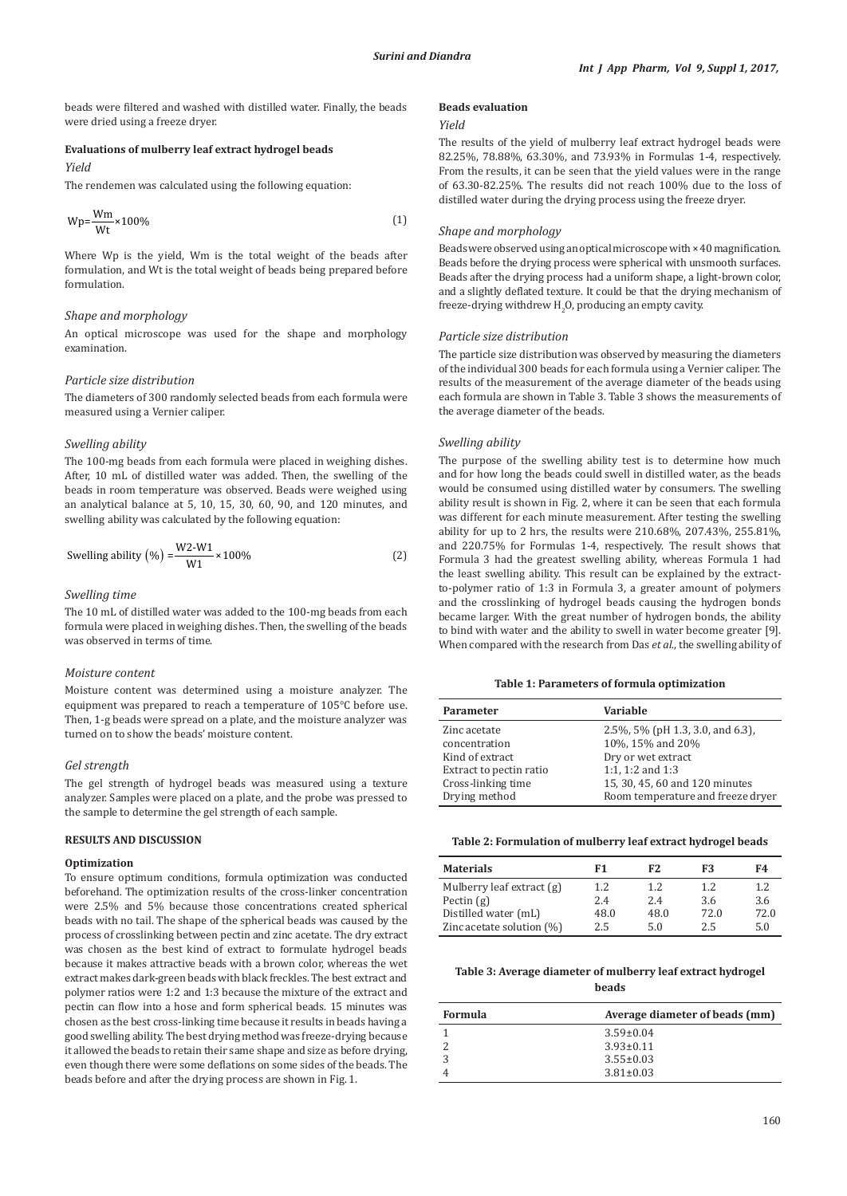beads were filtered and washed with distilled water. Finally, the beads were dried using a freeze dryer.

### **Evaluations of mulberry leaf extract hydrogel beads**

# *Yield*

The rendemen was calculated using the following equation:

$$
Wp = \frac{Wm}{Wt} \times 100\%
$$
 (1)

Where Wp is the yield, Wm is the total weight of the beads after formulation, and Wt is the total weight of beads being prepared before formulation.

# *Shape and morphology*

An optical microscope was used for the shape and morphology examination.

# *Particle size distribution*

The diameters of 300 randomly selected beads from each formula were measured using a Vernier caliper.

### *Swelling ability*

The 100-mg beads from each formula were placed in weighing dishes. After, 10 mL of distilled water was added. Then, the swelling of the beads in room temperature was observed. Beads were weighed using an analytical balance at 5, 10, 15, 30, 60, 90, and 120 minutes, and swelling ability was calculated by the following equation:

Swelling ability 
$$
(\%) = \frac{W2-W1}{W1} \times 100\%
$$
 (2)

### *Swelling time*

The 10 mL of distilled water was added to the 100-mg beads from each formula were placed in weighing dishes. Then, the swelling of the beads was observed in terms of time.

## *Moisture content*

Moisture content was determined using a moisture analyzer. The equipment was prepared to reach a temperature of 105°C before use. Then, 1-g beads were spread on a plate, and the moisture analyzer was turned on to show the beads' moisture content.

### *Gel strength*

The gel strength of hydrogel beads was measured using a texture analyzer. Samples were placed on a plate, and the probe was pressed to the sample to determine the gel strength of each sample.

# **RESULTS AND DISCUSSION**

#### **Optimization**

To ensure optimum conditions, formula optimization was conducted beforehand. The optimization results of the cross-linker concentration were 2.5% and 5% because those concentrations created spherical beads with no tail. The shape of the spherical beads was caused by the process of crosslinking between pectin and zinc acetate. The dry extract was chosen as the best kind of extract to formulate hydrogel beads because it makes attractive beads with a brown color, whereas the wet extract makes dark-green beads with black freckles. The best extract and polymer ratios were 1:2 and 1:3 because the mixture of the extract and pectin can flow into a hose and form spherical beads. 15 minutes was chosen as the best cross-linking time because it results in beads having a good swelling ability. The best drying method was freeze-drying because it allowed the beads to retain their same shape and size as before drying, even though there were some deflations on some sides of the beads. The beads before and after the drying process are shown in Fig. 1.

### **Beads evaluation**

#### *Yield*

The results of the yield of mulberry leaf extract hydrogel beads were 82.25%, 78.88%, 63.30%, and 73.93% in Formulas 1-4, respectively. From the results, it can be seen that the yield values were in the range of 63.30-82.25%. The results did not reach 100% due to the loss of distilled water during the drying process using the freeze dryer.

### *Shape and morphology*

Beads were observed using an optical microscope with × 40 magnification. Beads before the drying process were spherical with unsmooth surfaces. Beads after the drying process had a uniform shape, a light-brown color, and a slightly deflated texture. It could be that the drying mechanism of  ${\rm \, frequency}$  in withdrew  ${\rm H_2O}$ , producing an empty cavity.

### *Particle size distribution*

The particle size distribution was observed by measuring the diameters of the individual 300 beads for each formula using a Vernier caliper. The results of the measurement of the average diameter of the beads using each formula are shown in Table 3. Table 3 shows the measurements of the average diameter of the beads.

# *Swelling ability*

The purpose of the swelling ability test is to determine how much and for how long the beads could swell in distilled water, as the beads would be consumed using distilled water by consumers. The swelling ability result is shown in Fig. 2, where it can be seen that each formula was different for each minute measurement. After testing the swelling ability for up to 2 hrs, the results were 210.68%, 207.43%, 255.81%, and 220.75% for Formulas 1-4, respectively. The result shows that Formula 3 had the greatest swelling ability, whereas Formula 1 had the least swelling ability. This result can be explained by the extractto-polymer ratio of 1:3 in Formula 3, a greater amount of polymers and the crosslinking of hydrogel beads causing the hydrogen bonds became larger. With the great number of hydrogen bonds, the ability to bind with water and the ability to swell in water become greater [9]. When compared with the research from Das *et al*., the swelling ability of

### **Table 1: Parameters of formula optimization**

| <b>Parameter</b>        | Variable                          |
|-------------------------|-----------------------------------|
| Zinc acetate            | 2.5%, 5% (pH 1.3, 3.0, and 6.3),  |
| concentration           | 10%, 15% and 20%                  |
| Kind of extract         | Dry or wet extract                |
| Extract to pectin ratio | 1:1, 1:2 and $1:3$                |
| Cross-linking time      | 15, 30, 45, 60 and 120 minutes    |
| Drying method           | Room temperature and freeze dryer |

## **Table 2: Formulation of mulberry leaf extract hydrogel beads**

| <b>Materials</b>             | F1   | F <sub>2</sub> | F3   | F4   |
|------------------------------|------|----------------|------|------|
| Mulberry leaf extract (g)    | 1.2  | 1.2.           | 1.2  | 1.2. |
| Pectin $(g)$                 | 2.4  | 2.4            | 3.6  | 3.6  |
| Distilled water (mL)         | 48.0 | 48.0           | 72.0 | 72.0 |
| Zinc acetate solution $(\%)$ | 2.5  | 5.0            | 2.5  | 5.0  |

# **Table 3: Average diameter of mulberry leaf extract hydrogel beads**

| Formula | Average diameter of beads (mm) |
|---------|--------------------------------|
|         | $3.59 \pm 0.04$                |
|         | $3.93 \pm 0.11$                |
|         | $3.55 \pm 0.03$                |
|         | $3.81 \pm 0.03$                |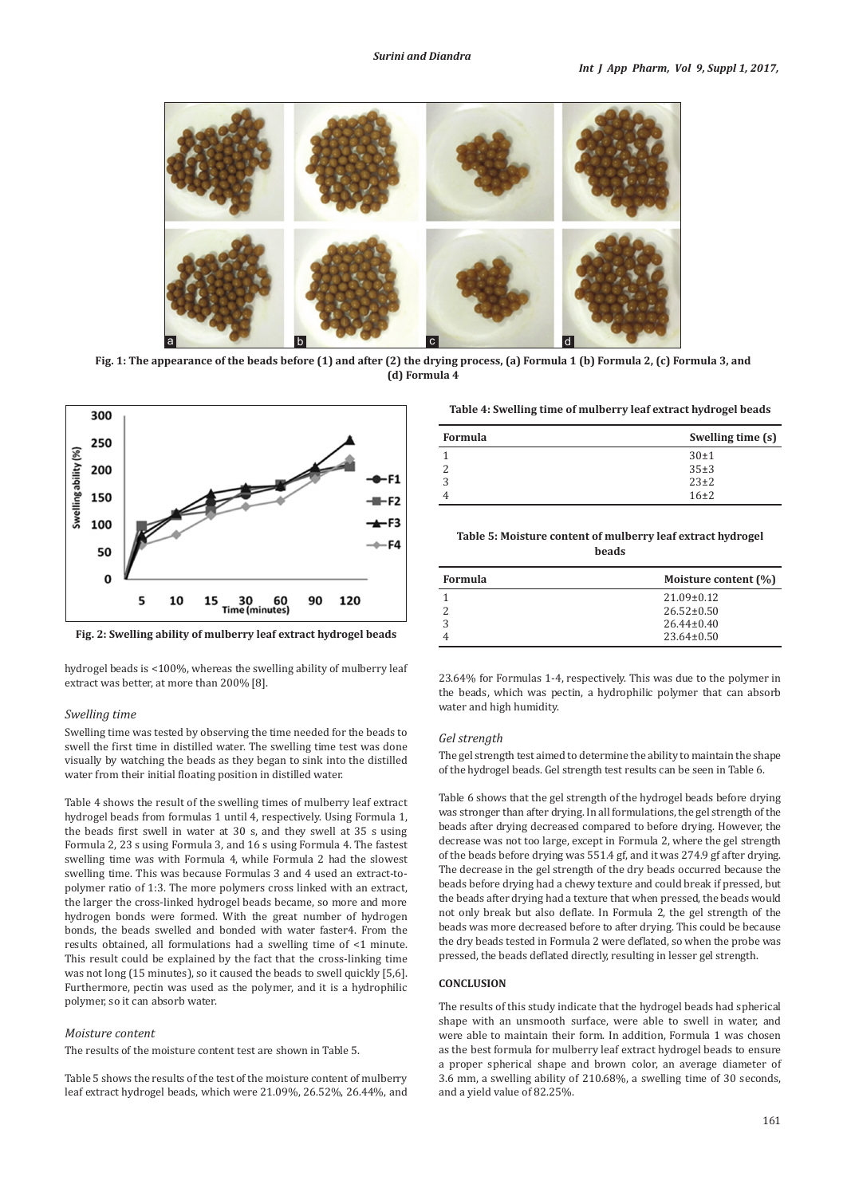

**Fig. 1: The appearance of the beads before (1) and after (2) the drying process, (a) Formula 1 (b) Formula 2, (c) Formula 3, and (d) Formula 4**



**Fig. 2: Swelling ability of mulberry leaf extract hydrogel beads**

hydrogel beads is <100%, whereas the swelling ability of mulberry leaf extract was better, at more than 200% [8].

# *Swelling time*

Swelling time was tested by observing the time needed for the beads to swell the first time in distilled water. The swelling time test was done visually by watching the beads as they began to sink into the distilled water from their initial floating position in distilled water.

Table 4 shows the result of the swelling times of mulberry leaf extract hydrogel beads from formulas 1 until 4, respectively. Using Formula 1, the beads first swell in water at 30 s, and they swell at 35 s using Formula 2, 23 s using Formula 3, and 16 s using Formula 4. The fastest swelling time was with Formula 4, while Formula 2 had the slowest swelling time. This was because Formulas 3 and 4 used an extract-topolymer ratio of 1:3. The more polymers cross linked with an extract, the larger the cross-linked hydrogel beads became, so more and more hydrogen bonds were formed. With the great number of hydrogen bonds, the beads swelled and bonded with water faster4. From the results obtained, all formulations had a swelling time of <1 minute. This result could be explained by the fact that the cross-linking time was not long (15 minutes), so it caused the beads to swell quickly [5,6]. Furthermore, pectin was used as the polymer, and it is a hydrophilic polymer, so it can absorb water.

# *Moisture content*

The results of the moisture content test are shown in Table 5.

Table 5 shows the results of the test of the moisture content of mulberry leaf extract hydrogel beads, which were 21.09%, 26.52%, 26.44%, and

**Table 4: Swelling time of mulberry leaf extract hydrogel beads**

| Formula | Swelling time (s) |
|---------|-------------------|
|         | $30 \pm 1$        |
|         | 35±3              |
|         | $23\pm2$          |
|         | $16\pm2$          |

# **Table 5: Moisture content of mulberry leaf extract hydrogel beads**

| Formula | Moisture content (%) |
|---------|----------------------|
|         | $21.09 \pm 0.12$     |
|         | $26.52 \pm 0.50$     |
|         | $26.44 \pm 0.40$     |
|         | $23.64 \pm 0.50$     |

23.64% for Formulas 1-4, respectively. This was due to the polymer in the beads, which was pectin, a hydrophilic polymer that can absorb water and high humidity.

# *Gel strength*

The gel strength test aimed to determine the ability to maintain the shape of the hydrogel beads. Gel strength test results can be seen in Table 6.

Table 6 shows that the gel strength of the hydrogel beads before drying was stronger than after drying. In all formulations, the gel strength of the beads after drying decreased compared to before drying. However, the decrease was not too large, except in Formula 2, where the gel strength of the beads before drying was 551.4 gf, and it was 274.9 gf after drying. The decrease in the gel strength of the dry beads occurred because the beads before drying had a chewy texture and could break if pressed, but the beads after drying had a texture that when pressed, the beads would not only break but also deflate. In Formula 2, the gel strength of the beads was more decreased before to after drying. This could be because the dry beads tested in Formula 2 were deflated, so when the probe was pressed, the beads deflated directly, resulting in lesser gel strength.

### **CONCLUSION**

The results of this study indicate that the hydrogel beads had spherical shape with an unsmooth surface, were able to swell in water, and were able to maintain their form. In addition, Formula 1 was chosen as the best formula for mulberry leaf extract hydrogel beads to ensure a proper spherical shape and brown color, an average diameter of 3.6 mm, a swelling ability of 210.68%, a swelling time of 30 seconds, and a yield value of 82.25%.